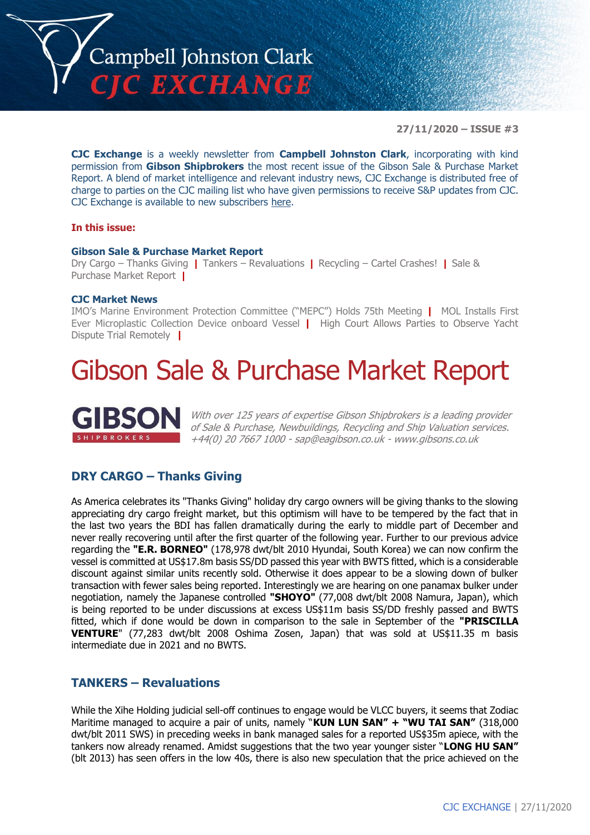

**27/11/2020 – ISSUE #3**

**CJC Exchange** is a weekly newsletter from **Campbell Johnston Clark**, incorporating with kind permission from **Gibson Shipbrokers** the most recent issue of the Gibson Sale & Purchase Market Report. A blend of market intelligence and relevant industry news, CJC Exchange is distributed free of charge to parties on the CJC mailing list who have given permissions to receive S&P updates from CJC. CJC Exchange is available to new subscribers [here.](mailto:jamesc@cjclaw.com?subject=CJC%20Exchange%20sign-up)

### **In this issue:**

### **Gibson Sale & Purchase Market Report**

Dry Cargo – Thanks Giving **|** Tankers – Revaluations **|** Recycling – Cartel Crashes! **|** Sale & Purchase Market Report **|**

### **CJC Market News**

IMO's Marine Environment Protection Committee ("MEPC") Holds 75th Meeting **|** MOL Installs First Ever Microplastic Collection Device onboard Vessel **|** High Court Allows Parties to Observe Yacht Dispute Trial Remotely **|**

# Gibson Sale & Purchase Market Report



With over 125 years of expertise Gibson Shipbrokers is a leading provider of Sale & Purchase, Newbuildings, Recycling and Ship Valuation services. +44(0) 20 7667 1000 - [sap@eagibson.co.uk](mailto:sap@eagibson.co.uk) - [www.gibsons.co.uk](https://protect-eu.mimecast.com/s/VO6nCGZzRS60KqcK1jQh/)

## **DRY CARGO – Thanks Giving**

As America celebrates its "Thanks Giving" holiday dry cargo owners will be giving thanks to the slowing appreciating dry cargo freight market, but this optimism will have to be tempered by the fact that in the last two years the BDI has fallen dramatically during the early to middle part of December and never really recovering until after the first quarter of the following year. Further to our previous advice regarding the **"E.R. BORNEO"** (178,978 dwt/blt 2010 Hyundai, South Korea) we can now confirm the vessel is committed at US\$17.8m basis SS/DD passed this year with BWTS fitted, which is a considerable discount against similar units recently sold. Otherwise it does appear to be a slowing down of bulker transaction with fewer sales being reported. Interestingly we are hearing on one panamax bulker under negotiation, namely the Japanese controlled **"SHOYO"** (77,008 dwt/blt 2008 Namura, Japan), which is being reported to be under discussions at excess US\$11m basis SS/DD freshly passed and BWTS fitted, which if done would be down in comparison to the sale in September of the **"PRISCILLA VENTURE**" (77,283 dwt/blt 2008 Oshima Zosen, Japan) that was sold at US\$11.35 m basis intermediate due in 2021 and no BWTS.

### **TANKERS – Revaluations**

While the Xihe Holding judicial sell-off continues to engage would be VLCC buyers, it seems that Zodiac Maritime managed to acquire a pair of units, namely "**KUN LUN SAN" + "WU TAI SAN"** (318,000 dwt/blt 2011 SWS) in preceding weeks in bank managed sales for a reported US\$35m apiece, with the tankers now already renamed. Amidst suggestions that the two year younger sister "**LONG HU SAN"** (blt 2013) has seen offers in the low 40s, there is also new speculation that the price achieved on the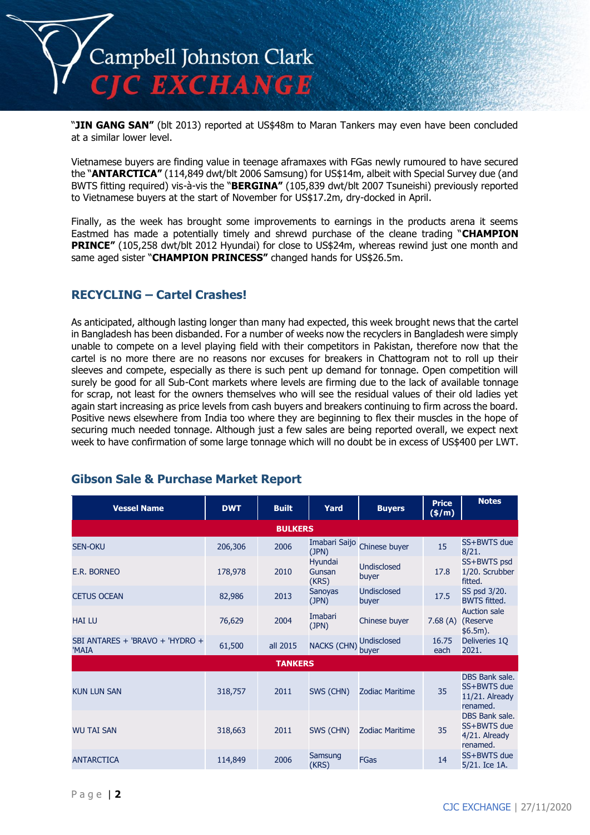

"**JIN GANG SAN"** (blt 2013) reported at US\$48m to Maran Tankers may even have been concluded at a similar lower level.

Vietnamese buyers are finding value in teenage aframaxes with FGas newly rumoured to have secured the "**ANTARCTICA"** (114,849 dwt/blt 2006 Samsung) for US\$14m, albeit with Special Survey due (and BWTS fitting required) vis-à-vis the "**BERGINA"** (105,839 dwt/blt 2007 Tsuneishi) previously reported to Vietnamese buyers at the start of November for US\$17.2m, dry-docked in April.

Finally, as the week has brought some improvements to earnings in the products arena it seems Eastmed has made a potentially timely and shrewd purchase of the cleane trading "**CHAMPION PRINCE"** (105,258 dwt/blt 2012 Hyundai) for close to US\$24m, whereas rewind just one month and same aged sister "**CHAMPION PRINCESS"** changed hands for US\$26.5m.

## **RECYCLING – Cartel Crashes!**

As anticipated, although lasting longer than many had expected, this week brought news that the cartel in Bangladesh has been disbanded. For a number of weeks now the recyclers in Bangladesh were simply unable to compete on a level playing field with their competitors in Pakistan, therefore now that the cartel is no more there are no reasons nor excuses for breakers in Chattogram not to roll up their sleeves and compete, especially as there is such pent up demand for tonnage. Open competition will surely be good for all Sub-Cont markets where levels are firming due to the lack of available tonnage for scrap, not least for the owners themselves who will see the residual values of their old ladies yet again start increasing as price levels from cash buyers and breakers continuing to firm across the board. Positive news elsewhere from India too where they are beginning to flex their muscles in the hope of securing much needed tonnage. Although just a few sales are being reported overall, we expect next week to have confirmation of some large tonnage which will no doubt be in excess of US\$400 per LWT.

| <b>Vessel Name</b>                       | <b>DWT</b> | <b>Built</b>   | Yard                       | <b>Buyers</b>               | <b>Price</b><br>(\$/m)                                                                                                                                                                                                                                                                                                                                                      | <b>Notes</b>  |  |  |  |
|------------------------------------------|------------|----------------|----------------------------|-----------------------------|-----------------------------------------------------------------------------------------------------------------------------------------------------------------------------------------------------------------------------------------------------------------------------------------------------------------------------------------------------------------------------|---------------|--|--|--|
|                                          |            | <b>BULKERS</b> |                            |                             | SS+BWTS due<br>15<br>8/21.<br>SS+BWTS psd<br>17.8<br>1/20. Scrubber<br>fitted.<br>SS psd 3/20.<br>17.5<br><b>BWTS</b> fitted.<br><b>Auction sale</b><br>7.68(A)<br>(Reserve<br>\$6.5m).<br>16.75<br>Deliveries 1Q<br>2021.<br>each<br>DBS Bank sale.<br>SS+BWTS due<br>35<br>11/21. Already<br>renamed.<br>DBS Bank sale.<br>SS+BWTS due<br>35<br>4/21. Already<br>renamed. |               |  |  |  |
| <b>SEN-OKU</b>                           | 206,306    | 2006           | Imabari Saijo<br>(JPN)     | Chinese buyer               |                                                                                                                                                                                                                                                                                                                                                                             |               |  |  |  |
| E.R. BORNEO                              | 178,978    | 2010           | Hyundai<br>Gunsan<br>(KRS) | <b>Undisclosed</b><br>buyer |                                                                                                                                                                                                                                                                                                                                                                             |               |  |  |  |
| <b>CETUS OCEAN</b>                       | 82,986     | 2013           | <b>Sanoyas</b><br>(JPN)    | Undisclosed<br>buyer        |                                                                                                                                                                                                                                                                                                                                                                             |               |  |  |  |
| <b>HAI LU</b>                            | 76,629     | 2004           | Imabari<br>(JPN)           | Chinese buyer               |                                                                                                                                                                                                                                                                                                                                                                             |               |  |  |  |
| SBI ANTARES + 'BRAVO + 'HYDRO +<br>'MAIA | 61,500     | all 2015       | <b>NACKS (CHN)</b>         | <b>Undisclosed</b><br>buyer |                                                                                                                                                                                                                                                                                                                                                                             |               |  |  |  |
|                                          |            | <b>TANKERS</b> |                            |                             |                                                                                                                                                                                                                                                                                                                                                                             | SS+BWTS due   |  |  |  |
| <b>KUN LUN SAN</b>                       | 318,757    | 2011           | SWS (CHN)                  | <b>Zodiac Maritime</b>      |                                                                                                                                                                                                                                                                                                                                                                             |               |  |  |  |
| <b>WU TAI SAN</b>                        | 318,663    | 2011           | SWS (CHN)                  | <b>Zodiac Maritime</b>      |                                                                                                                                                                                                                                                                                                                                                                             |               |  |  |  |
| <b>ANTARCTICA</b>                        | 114,849    | 2006           | Samsung<br>(KRS)           | <b>FGas</b>                 | 14                                                                                                                                                                                                                                                                                                                                                                          | 5/21. Ice 1A. |  |  |  |

# **Gibson Sale & Purchase Market Report**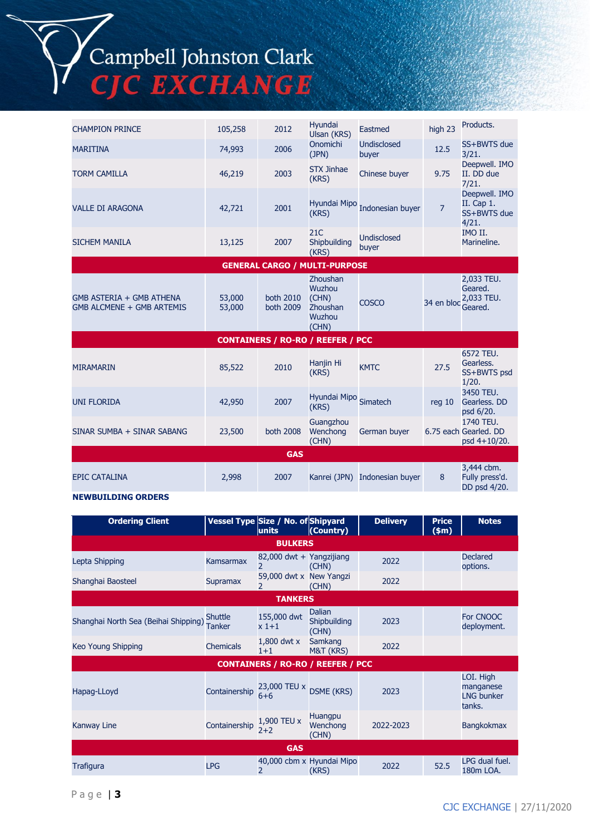# Campbell Johnston Clark<br>CJC EXCHANGE

| <b>CHAMPION PRINCE</b>                                | 105,258          | 2012                   | Hyundai<br>Ulsan (KRS)                                            | Eastmed                       | high 23           | Products.                                                                                                                                                                                      |  |  |
|-------------------------------------------------------|------------------|------------------------|-------------------------------------------------------------------|-------------------------------|-------------------|------------------------------------------------------------------------------------------------------------------------------------------------------------------------------------------------|--|--|
| <b>MARITINA</b>                                       | 74,993           | 2006                   | <b>Onomichi</b><br>(JPN)                                          | <b>Undisclosed</b><br>buyer   | 12.5              | SS+BWTS due<br>3/21.                                                                                                                                                                           |  |  |
| <b>TORM CAMILLA</b>                                   | 46,219           | 2003                   | <b>STX Jinhae</b><br>(KRS)                                        | Chinese buyer                 | 9.75              | Deepwell. IMO<br>II. DD due<br>7/21.                                                                                                                                                           |  |  |
| <b>VALLE DI ARAGONA</b>                               | 42,721           | 2001                   | Hyundai Mipo<br>(KRS)                                             | Indonesian buyer              | $\overline{7}$    | Deepwell. IMO<br>II. Cap 1.<br>SS+BWTS due<br>4/21.                                                                                                                                            |  |  |
| <b>SICHEM MANILA</b>                                  | 13,125           | 2007                   | 21C<br>Shipbuilding<br>(KRS)                                      | <b>Undisclosed</b><br>buyer   |                   | IMO II.<br>Marineline.                                                                                                                                                                         |  |  |
|                                                       |                  |                        | <b>GENERAL CARGO / MULTI-PURPOSE</b>                              |                               |                   |                                                                                                                                                                                                |  |  |
| GMB ASTERIA + GMB ATHENA<br>GMB ALCMENE + GMB ARTEMIS | 53,000<br>53,000 | both 2010<br>both 2009 | Zhoushan<br><b>Wuzhou</b><br>(CHN)<br>Zhoushan<br>Wuzhou<br>(CHN) | <b>COSCO</b>                  | 34 en bloc        | 2,033 TEU.<br>Geared.<br>2,033 TEU.<br>Geared.                                                                                                                                                 |  |  |
|                                                       |                  |                        | <b>CONTAINERS / RO-RO / REEFER / PCC</b>                          |                               |                   | 6572 TEU.<br>Gearless.<br>SS+BWTS psd<br>1/20.<br>3450 TEU.<br>Gearless. DD<br>psd 6/20.<br>1740 TEU.<br>6.75 each Gearled. DD<br>psd 4+10/20.<br>3,444 cbm.<br>Fully press'd.<br>DD psd 4/20. |  |  |
| <b>MIRAMARIN</b>                                      | 85,522           | 2010                   | Hanjin Hi<br>(KRS)                                                | <b>KMTC</b>                   | 27.5              |                                                                                                                                                                                                |  |  |
| <b>UNI FLORIDA</b>                                    | 42,950           | 2007                   | Hyundai Mipo Simatech<br>(KRS)                                    |                               | req <sub>10</sub> |                                                                                                                                                                                                |  |  |
| SINAR SUMBA + SINAR SABANG                            | 23,500           | both 2008              | Guangzhou<br>Wenchong<br>(CHN)                                    | German buyer                  |                   |                                                                                                                                                                                                |  |  |
| <b>GAS</b>                                            |                  |                        |                                                                   |                               |                   |                                                                                                                                                                                                |  |  |
| <b>EPIC CATALINA</b>                                  | 2,998            | 2007                   |                                                                   | Kanrei (JPN) Indonesian buyer | 8                 |                                                                                                                                                                                                |  |  |

### **NEWBUILDING ORDERS**

| <b>Ordering Client</b>               |                          | Vessel Type Size / No. of Shipyard<br>units         | (Country)                              | <b>Delivery</b> | <b>Price</b><br>\$m\$ | <b>Notes</b>                                          |
|--------------------------------------|--------------------------|-----------------------------------------------------|----------------------------------------|-----------------|-----------------------|-------------------------------------------------------|
|                                      |                          | <b>BULKERS</b>                                      |                                        |                 |                       |                                                       |
| Lepta Shipping                       | Kamsarmax                | 82,000 dwt + Yangzijiang<br>$\mathcal{P}$           | (CHN)                                  | 2022            |                       | <b>Declared</b><br>options.                           |
| Shanghai Baosteel                    | Supramax                 | 59,000 dwt x New Yangzi<br>$\overline{\phantom{a}}$ | (CHN)                                  | 2022            |                       |                                                       |
|                                      |                          | <b>TANKERS</b>                                      |                                        |                 |                       |                                                       |
| Shanghai North Sea (Beihai Shipping) | <b>Shuttle</b><br>Tanker | 155,000 dwt<br>$x1+1$                               | <b>Dalian</b><br>Shipbuilding<br>(CHN) | 2023            |                       | For CNOOC<br>deployment.                              |
| Keo Young Shipping                   | <b>Chemicals</b>         | $1,800$ dwt x<br>$1 + 1$                            | Samkang<br>M&T (KRS)                   | 2022            |                       |                                                       |
|                                      |                          | <b>CONTAINERS / RO-RO / REEFER / PCC</b>            |                                        |                 |                       |                                                       |
| Hapag-LLoyd                          | Containership            | 23,000 TEU x<br>$6 + 6$                             | <b>DSME (KRS)</b>                      | 2023            |                       | LOI. High<br>manganese<br><b>LNG bunker</b><br>tanks. |
| <b>Kanway Line</b>                   | Containership            | 1,900 TEU x<br>$2+2$                                | <b>Huangpu</b><br>Wenchong<br>(CHN)    | 2022-2023       |                       | <b>Bangkokmax</b>                                     |
|                                      |                          | <b>GAS</b>                                          |                                        |                 |                       |                                                       |
| Trafigura                            | <b>LPG</b>               | 2                                                   | 40,000 cbm x Hyundai Mipo<br>(KRS)     | 2022            | 52.5                  | LPG dual fuel.<br>180m LOA.                           |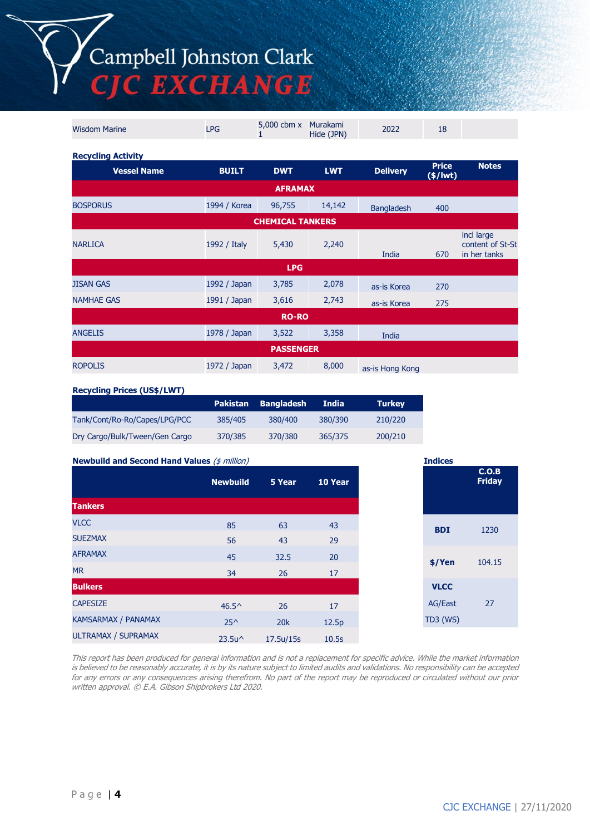Campbell Johnston Clark<br>CJC EXCHANGE

| <b>Wisdom Marine</b>      | <b>LPG</b>                                                                                                                                                                                                                                                                                                                                                                                                                 | 5,000 cbm x<br>1 | Murakami<br>Hide (JPN) | 2022            | 18                         |              |
|---------------------------|----------------------------------------------------------------------------------------------------------------------------------------------------------------------------------------------------------------------------------------------------------------------------------------------------------------------------------------------------------------------------------------------------------------------------|------------------|------------------------|-----------------|----------------------------|--------------|
| <b>Recycling Activity</b> |                                                                                                                                                                                                                                                                                                                                                                                                                            |                  |                        |                 |                            |              |
| <b>Vessel Name</b>        | <b>BUILT</b>                                                                                                                                                                                                                                                                                                                                                                                                               | <b>DWT</b>       | <b>LWT</b>             | <b>Delivery</b> | <b>Price</b><br>$(*)$ lwt) | <b>Notes</b> |
|                           | <b>AFRAMAX</b><br>1994 / Korea<br>14,142<br>96,755<br><b>Bangladesh</b><br>400<br><b>CHEMICAL TANKERS</b><br>incl large<br>content of St-St<br>2,240<br>1992 / Italy<br>5,430<br>in her tanks<br>India<br>670<br><b>LPG</b><br>1992 / Japan<br>2,078<br>3,785<br>as-is Korea<br>270<br>2,743<br>1991 / Japan<br>3,616<br>275<br>as-is Korea<br><b>RO-RO</b><br>1978 / Japan<br>3,358<br>3,522<br>India<br><b>PASSENGER</b> |                  |                        |                 |                            |              |
| <b>BOSPORUS</b>           |                                                                                                                                                                                                                                                                                                                                                                                                                            |                  |                        |                 |                            |              |
|                           |                                                                                                                                                                                                                                                                                                                                                                                                                            |                  |                        |                 |                            |              |
| <b>NARLICA</b>            |                                                                                                                                                                                                                                                                                                                                                                                                                            |                  |                        |                 |                            |              |
|                           |                                                                                                                                                                                                                                                                                                                                                                                                                            |                  |                        |                 |                            |              |
| <b>JISAN GAS</b>          |                                                                                                                                                                                                                                                                                                                                                                                                                            |                  |                        |                 |                            |              |
| <b>NAMHAE GAS</b>         |                                                                                                                                                                                                                                                                                                                                                                                                                            |                  |                        |                 |                            |              |
|                           |                                                                                                                                                                                                                                                                                                                                                                                                                            |                  |                        |                 |                            |              |
| <b>ANGELIS</b>            |                                                                                                                                                                                                                                                                                                                                                                                                                            |                  |                        |                 |                            |              |
|                           |                                                                                                                                                                                                                                                                                                                                                                                                                            |                  |                        |                 |                            |              |
| <b>ROPOLIS</b>            | 1972 / Japan                                                                                                                                                                                                                                                                                                                                                                                                               | 3,472            | 8,000                  | as-is Hong Kong |                            |              |

#### **Recycling Prices (US\$/LWT)**

|                                |         | Pakistan Bangladesh | India   | <b>Turkey</b> |
|--------------------------------|---------|---------------------|---------|---------------|
| Tank/Cont/Ro-Ro/Capes/LPG/PCC  | 385/405 | 380/400             | 380/390 | 210/220       |
| Dry Cargo/Bulk/Tween/Gen Cargo | 370/385 | 370/380             | 365/375 | 200/210       |

| <b>Newbuild and Second Hand Values (\$ million)</b> |                  |           |         |
|-----------------------------------------------------|------------------|-----------|---------|
|                                                     | <b>Newbuild</b>  | 5 Year    | 10 Year |
| <b>Tankers</b>                                      |                  |           |         |
| <b>VLCC</b>                                         | 85               | 63        | 43      |
| <b>SUEZMAX</b>                                      | 56               | 43        | 29      |
| <b>AFRAMAX</b>                                      | 45               | 32.5      | 20      |
| <b>MR</b>                                           | 34               | 26        | 17      |
| <b>Bulkers</b>                                      |                  |           |         |
| <b>CAPESIZE</b>                                     | $46.5^{\circ}$   | 26        | 17      |
| <b>KAMSARMAX / PANAMAX</b>                          | $25^{\wedge}$    | 20k       | 12.5p   |
| ULTRAMAX / SUPRAMAX                                 | $23.5u^{\wedge}$ | 17.5u/15s | 10.5s   |

This report has been produced for general information and is not a replacement for specific advice. While the market information is believed to be reasonably accurate, it is by its nature subject to limited audits and validations. No responsibility can be accepted for any errors or any consequences arising therefrom. No part of the report may be reproduced or circulated without our prior written approval. © E.A. Gibson Shipbrokers Ltd 2020.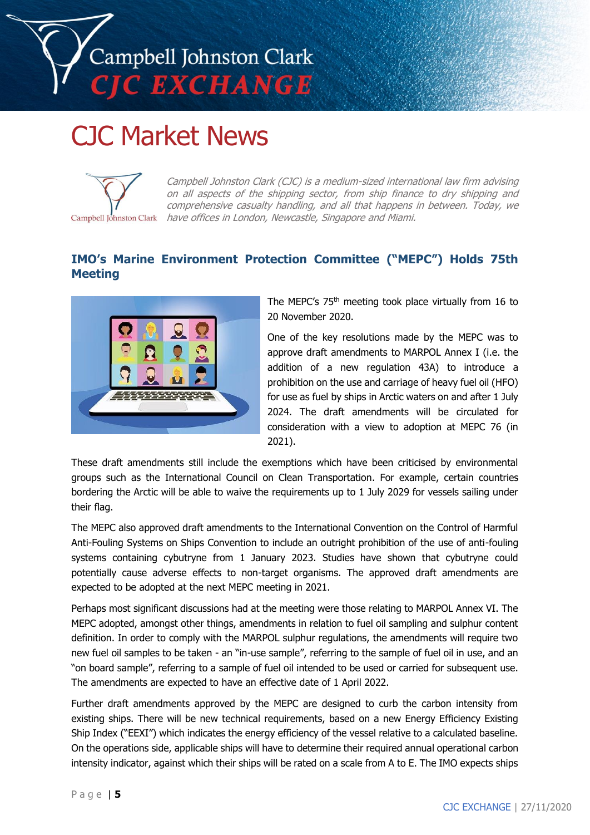

# CJC Market News



Campbell Johnston Clark (CJC) is a medium-sized international law firm advising on all aspects of the shipping sector, from ship finance to dry shipping and comprehensive casualty handling, and all that happens in between. Today, we Campbell Johnston Clark have offices in London, Newcastle, Singapore and Miami.

# **IMO's Marine Environment Protection Committee ("MEPC") Holds 75th Meeting**



The MEPC's 75<sup>th</sup> meeting took place virtually from 16 to 20 November 2020.

One of the key resolutions made by the MEPC was to approve draft amendments to MARPOL Annex I (i.e. the addition of a new regulation 43A) to introduce a prohibition on the use and carriage of heavy fuel oil (HFO) for use as fuel by ships in Arctic waters on and after 1 July 2024. The draft amendments will be circulated for consideration with a view to adoption at MEPC 76 (in 2021).

These draft amendments still include the exemptions which have been criticised by environmental groups such as the International Council on Clean Transportation. For example, certain countries bordering the Arctic will be able to waive the requirements up to 1 July 2029 for vessels sailing under their flag.

The MEPC also approved draft amendments to the International Convention on the Control of Harmful Anti-Fouling Systems on Ships Convention to include an outright prohibition of the use of anti-fouling systems containing cybutryne from 1 January 2023. Studies have shown that cybutryne could potentially cause adverse effects to non-target organisms. The approved draft amendments are expected to be adopted at the next MEPC meeting in 2021.

Perhaps most significant discussions had at the meeting were those relating to MARPOL Annex VI. The MEPC adopted, amongst other things, amendments in relation to fuel oil sampling and sulphur content definition. In order to comply with the MARPOL sulphur regulations, the amendments will require two new fuel oil samples to be taken - an "in-use sample", referring to the sample of fuel oil in use, and an "on board sample", referring to a sample of fuel oil intended to be used or carried for subsequent use. The amendments are expected to have an effective date of 1 April 2022.

Further draft amendments approved by the MEPC are designed to curb the carbon intensity from existing ships. There will be new technical requirements, based on a new Energy Efficiency Existing Ship Index ("EEXI") which indicates the energy efficiency of the vessel relative to a calculated baseline. On the operations side, applicable ships will have to determine their required annual operational carbon intensity indicator, against which their ships will be rated on a scale from A to E. The IMO expects ships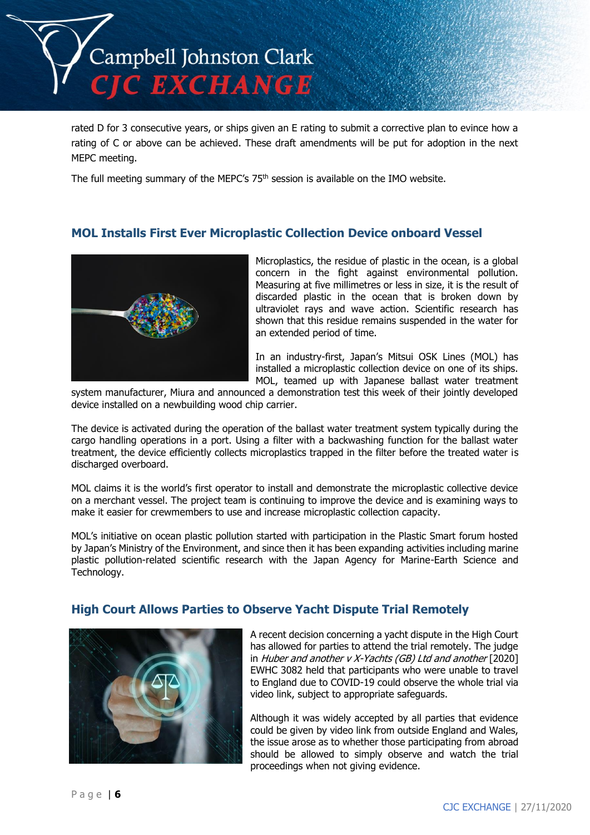

rated D for 3 consecutive years, or ships given an E rating to submit a corrective plan to evince how a rating of C or above can be achieved. These draft amendments will be put for adoption in the next MEPC meeting.

The full meeting summary of the MEPC's 75<sup>th</sup> session is available on the IMO website.

# **MOL Installs First Ever Microplastic Collection Device onboard Vessel**



Microplastics, the residue of plastic in the ocean, is a global concern in the fight against environmental pollution. Measuring at five millimetres or less in size, it is the result of discarded plastic in the ocean that is broken down by ultraviolet rays and wave action. Scientific research has shown that this residue remains suspended in the water for an extended period of time.

In an industry-first, Japan's Mitsui OSK Lines (MOL) has installed a microplastic collection device on one of its ships. MOL, teamed up with Japanese ballast water treatment

system manufacturer, Miura and announced a demonstration test this week of their jointly developed device installed on a newbuilding wood chip carrier.

The device is activated during the operation of the ballast water treatment system typically during the cargo handling operations in a port. Using a filter with a backwashing function for the ballast water treatment, the device efficiently collects microplastics trapped in the filter before the treated water is discharged overboard.

MOL claims it is the world's first operator to install and demonstrate the microplastic collective device on a merchant vessel. The project team is continuing to improve the device and is examining ways to make it easier for crewmembers to use and increase microplastic collection capacity.

MOL's initiative on ocean plastic pollution started with participation in the Plastic Smart forum hosted by Japan's Ministry of the Environment, and since then it has been expanding activities including marine plastic pollution-related scientific research with the Japan Agency for Marine-Earth Science and Technology.

## **High Court Allows Parties to Observe Yacht Dispute Trial Remotely**



A recent decision concerning a yacht dispute in the High Court has allowed for parties to attend the trial remotely. The judge in Huber and another v X-Yachts (GB) Ltd and another  $[2020]$ EWHC 3082 held that participants who were unable to travel to England due to COVID-19 could observe the whole trial via video link, subject to appropriate safeguards.

Although it was widely accepted by all parties that evidence could be given by video link from outside England and Wales, the issue arose as to whether those participating from abroad should be allowed to simply observe and watch the trial proceedings when not giving evidence.